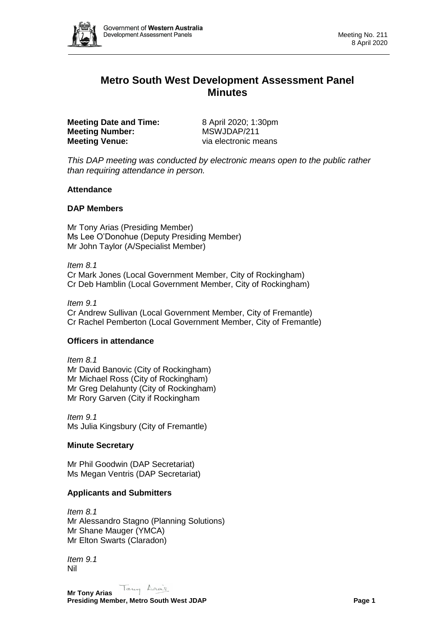

# **Metro South West Development Assessment Panel Minutes**

**Meeting Date and Time:** 8 April 2020; 1:30pm **Meeting Number:** MSWJDAP/211 **Meeting Venue:** via electronic means

*This DAP meeting was conducted by electronic means open to the public rather than requiring attendance in person.*

## **Attendance**

## **DAP Members**

Mr Tony Arias (Presiding Member) Ms Lee O'Donohue (Deputy Presiding Member) Mr John Taylor (A/Specialist Member)

*Item 8.1*

Cr Mark Jones (Local Government Member, City of Rockingham) Cr Deb Hamblin (Local Government Member, City of Rockingham)

*Item 9.1* Cr Andrew Sullivan (Local Government Member, City of Fremantle) Cr Rachel Pemberton (Local Government Member, City of Fremantle)

## **Officers in attendance**

*Item 8.1* Mr David Banovic (City of Rockingham) Mr Michael Ross (City of Rockingham) Mr Greg Delahunty (City of Rockingham) Mr Rory Garven (City if Rockingham

*Item 9.1* Ms Julia Kingsbury (City of Fremantle)

## **Minute Secretary**

Mr Phil Goodwin (DAP Secretariat) Ms Megan Ventris (DAP Secretariat)

## **Applicants and Submitters**

*Item 8.1* Mr Alessandro Stagno (Planning Solutions) Mr Shane Mauger (YMCA) Mr Elton Swarts (Claradon)

*Item 9.1* Nil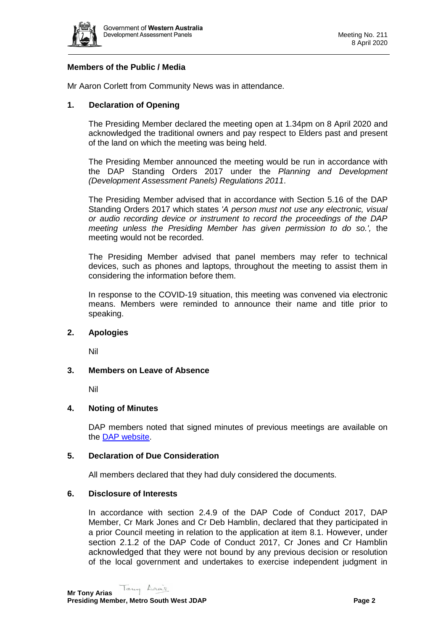

## **Members of the Public / Media**

Mr Aaron Corlett from Community News was in attendance.

## **1. Declaration of Opening**

The Presiding Member declared the meeting open at 1.34pm on 8 April 2020 and acknowledged the traditional owners and pay respect to Elders past and present of the land on which the meeting was being held.

The Presiding Member announced the meeting would be run in accordance with the DAP Standing Orders 2017 under the *Planning and Development (Development Assessment Panels) Regulations 2011*.

The Presiding Member advised that in accordance with Section 5.16 of the DAP Standing Orders 2017 which states *'A person must not use any electronic, visual or audio recording device or instrument to record the proceedings of the DAP meeting unless the Presiding Member has given permission to do so.',* the meeting would not be recorded.

The Presiding Member advised that panel members may refer to technical devices, such as phones and laptops, throughout the meeting to assist them in considering the information before them.

In response to the COVID-19 situation, this meeting was convened via electronic means. Members were reminded to announce their name and title prior to speaking.

#### **2. Apologies**

Nil

#### **3. Members on Leave of Absence**

Nil

#### **4. Noting of Minutes**

DAP members noted that signed minutes of previous meetings are available on the [DAP website.](https://www.dplh.wa.gov.au/about/development-assessment-panels/daps-agendas-and-minutes)

#### **5. Declaration of Due Consideration**

All members declared that they had duly considered the documents.

#### **6. Disclosure of Interests**

In accordance with section 2.4.9 of the DAP Code of Conduct 2017, DAP Member, Cr Mark Jones and Cr Deb Hamblin, declared that they participated in a prior Council meeting in relation to the application at item 8.1. However, under section 2.1.2 of the DAP Code of Conduct 2017, Cr Jones and Cr Hamblin acknowledged that they were not bound by any previous decision or resolution of the local government and undertakes to exercise independent judgment in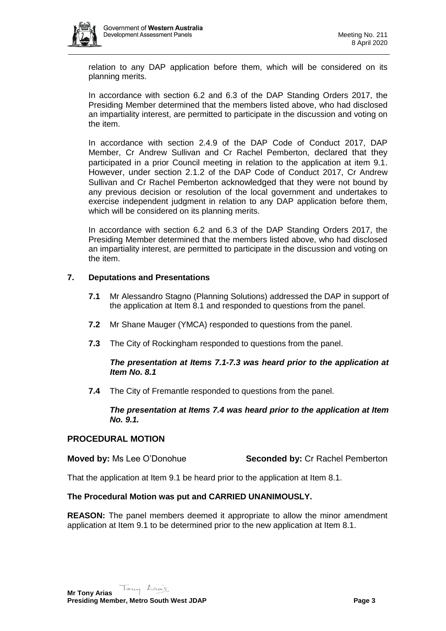relation to any DAP application before them, which will be considered on its planning merits.

In accordance with section 6.2 and 6.3 of the DAP Standing Orders 2017, the Presiding Member determined that the members listed above, who had disclosed an impartiality interest, are permitted to participate in the discussion and voting on the item.

In accordance with section 2.4.9 of the DAP Code of Conduct 2017, DAP Member, Cr Andrew Sullivan and Cr Rachel Pemberton, declared that they participated in a prior Council meeting in relation to the application at item 9.1. However, under section 2.1.2 of the DAP Code of Conduct 2017, Cr Andrew Sullivan and Cr Rachel Pemberton acknowledged that they were not bound by any previous decision or resolution of the local government and undertakes to exercise independent judgment in relation to any DAP application before them, which will be considered on its planning merits.

In accordance with section 6.2 and 6.3 of the DAP Standing Orders 2017, the Presiding Member determined that the members listed above, who had disclosed an impartiality interest, are permitted to participate in the discussion and voting on the item.

## **7. Deputations and Presentations**

- **7.1** Mr Alessandro Stagno (Planning Solutions) addressed the DAP in support of the application at Item 8.1 and responded to questions from the panel.
- **7.2** Mr Shane Mauger (YMCA) responded to questions from the panel.
- **7.3** The City of Rockingham responded to questions from the panel.

## *The presentation at Items 7.1-7.3 was heard prior to the application at Item No. 8.1*

**7.4** The City of Fremantle responded to questions from the panel.

## *The presentation at Items 7.4 was heard prior to the application at Item No. 9.1.*

## **PROCEDURAL MOTION**

## **Moved by:** Ms Lee O'Donohue **Seconded by:** Cr Rachel Pemberton

That the application at Item 9.1 be heard prior to the application at Item 8.1.

## **The Procedural Motion was put and CARRIED UNANIMOUSLY.**

**REASON:** The panel members deemed it appropriate to allow the minor amendment application at Item 9.1 to be determined prior to the new application at Item 8.1.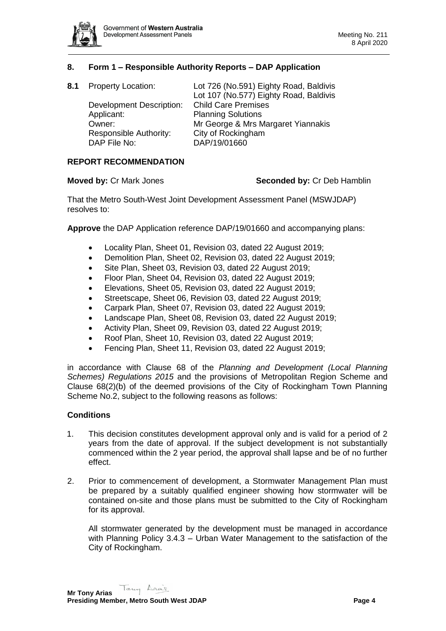

## **8. Form 1 – Responsible Authority Reports – DAP Application**

| 8.1 | <b>Property Location:</b>       | Lot 726 (No.591) Eighty Road, Baldivis |
|-----|---------------------------------|----------------------------------------|
|     |                                 | Lot 107 (No.577) Eighty Road, Baldivis |
|     | <b>Development Description:</b> | <b>Child Care Premises</b>             |
|     | Applicant:                      | <b>Planning Solutions</b>              |
|     | Owner:                          | Mr George & Mrs Margaret Yiannakis     |
|     | Responsible Authority:          | City of Rockingham                     |
|     | DAP File No:                    | DAP/19/01660                           |

#### **REPORT RECOMMENDATION**

#### **Moved by:** Cr Mark Jones **Seconded by:** Cr Deb Hamblin

That the Metro South-West Joint Development Assessment Panel (MSWJDAP) resolves to:

**Approve** the DAP Application reference DAP/19/01660 and accompanying plans:

- Locality Plan, Sheet 01, Revision 03, dated 22 August 2019;
- Demolition Plan, Sheet 02, Revision 03, dated 22 August 2019;
- Site Plan, Sheet 03, Revision 03, dated 22 August 2019;
- Floor Plan, Sheet 04, Revision 03, dated 22 August 2019;
- Elevations, Sheet 05, Revision 03, dated 22 August 2019;
- Streetscape, Sheet 06, Revision 03, dated 22 August 2019;
- Carpark Plan, Sheet 07, Revision 03, dated 22 August 2019;
- Landscape Plan, Sheet 08, Revision 03, dated 22 August 2019;
- Activity Plan, Sheet 09, Revision 03, dated 22 August 2019;
- Roof Plan, Sheet 10, Revision 03, dated 22 August 2019;
- Fencing Plan, Sheet 11, Revision 03, dated 22 August 2019;

in accordance with Clause 68 of the *Planning and Development (Local Planning Schemes) Regulations 2015* and the provisions of Metropolitan Region Scheme and Clause 68(2)(b) of the deemed provisions of the City of Rockingham Town Planning Scheme No.2, subject to the following reasons as follows:

#### **Conditions**

- 1. This decision constitutes development approval only and is valid for a period of 2 years from the date of approval. If the subject development is not substantially commenced within the 2 year period, the approval shall lapse and be of no further effect.
- 2. Prior to commencement of development, a Stormwater Management Plan must be prepared by a suitably qualified engineer showing how stormwater will be contained on-site and those plans must be submitted to the City of Rockingham for its approval.

All stormwater generated by the development must be managed in accordance with Planning Policy 3.4.3 – Urban Water Management to the satisfaction of the City of Rockingham.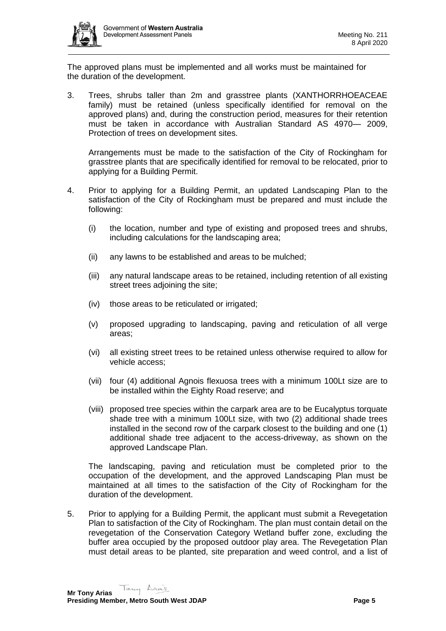

The approved plans must be implemented and all works must be maintained for the duration of the development.

3. Trees, shrubs taller than 2m and grasstree plants (XANTHORRHOEACEAE family) must be retained (unless specifically identified for removal on the approved plans) and, during the construction period, measures for their retention must be taken in accordance with Australian Standard AS 4970— 2009, Protection of trees on development sites.

Arrangements must be made to the satisfaction of the City of Rockingham for grasstree plants that are specifically identified for removal to be relocated, prior to applying for a Building Permit.

- 4. Prior to applying for a Building Permit, an updated Landscaping Plan to the satisfaction of the City of Rockingham must be prepared and must include the following:
	- (i) the location, number and type of existing and proposed trees and shrubs, including calculations for the landscaping area;
	- (ii) any lawns to be established and areas to be mulched;
	- (iii) any natural landscape areas to be retained, including retention of all existing street trees adjoining the site;
	- (iv) those areas to be reticulated or irrigated;
	- (v) proposed upgrading to landscaping, paving and reticulation of all verge areas;
	- (vi) all existing street trees to be retained unless otherwise required to allow for vehicle access;
	- (vii) four (4) additional Agnois flexuosa trees with a minimum 100Lt size are to be installed within the Eighty Road reserve; and
	- (viii) proposed tree species within the carpark area are to be Eucalyptus torquate shade tree with a minimum 100Lt size, with two (2) additional shade trees installed in the second row of the carpark closest to the building and one (1) additional shade tree adjacent to the access-driveway, as shown on the approved Landscape Plan.

The landscaping, paving and reticulation must be completed prior to the occupation of the development, and the approved Landscaping Plan must be maintained at all times to the satisfaction of the City of Rockingham for the duration of the development.

5. Prior to applying for a Building Permit, the applicant must submit a Revegetation Plan to satisfaction of the City of Rockingham. The plan must contain detail on the revegetation of the Conservation Category Wetland buffer zone, excluding the buffer area occupied by the proposed outdoor play area. The Revegetation Plan must detail areas to be planted, site preparation and weed control, and a list of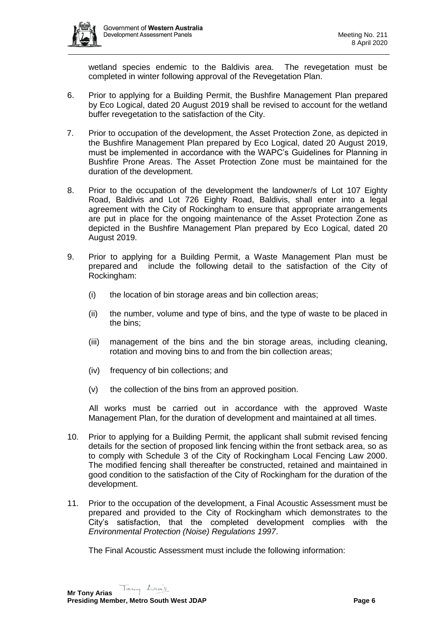

wetland species endemic to the Baldivis area. The revegetation must be completed in winter following approval of the Revegetation Plan.

- 6. Prior to applying for a Building Permit, the Bushfire Management Plan prepared by Eco Logical, dated 20 August 2019 shall be revised to account for the wetland buffer revegetation to the satisfaction of the City.
- 7. Prior to occupation of the development, the Asset Protection Zone, as depicted in the Bushfire Management Plan prepared by Eco Logical, dated 20 August 2019, must be implemented in accordance with the WAPC's Guidelines for Planning in Bushfire Prone Areas. The Asset Protection Zone must be maintained for the duration of the development.
- 8. Prior to the occupation of the development the landowner/s of Lot 107 Eighty Road, Baldivis and Lot 726 Eighty Road, Baldivis, shall enter into a legal agreement with the City of Rockingham to ensure that appropriate arrangements are put in place for the ongoing maintenance of the Asset Protection Zone as depicted in the Bushfire Management Plan prepared by Eco Logical, dated 20 August 2019.
- 9. Prior to applying for a Building Permit, a Waste Management Plan must be prepared and include the following detail to the satisfaction of the City of Rockingham:
	- (i) the location of bin storage areas and bin collection areas;
	- (ii) the number, volume and type of bins, and the type of waste to be placed in the bins;
	- (iii) management of the bins and the bin storage areas, including cleaning, rotation and moving bins to and from the bin collection areas;
	- (iv) frequency of bin collections; and
	- (v) the collection of the bins from an approved position.

All works must be carried out in accordance with the approved Waste Management Plan, for the duration of development and maintained at all times.

- 10. Prior to applying for a Building Permit, the applicant shall submit revised fencing details for the section of proposed link fencing within the front setback area, so as to comply with Schedule 3 of the City of Rockingham Local Fencing Law 2000. The modified fencing shall thereafter be constructed, retained and maintained in good condition to the satisfaction of the City of Rockingham for the duration of the development.
- 11. Prior to the occupation of the development, a Final Acoustic Assessment must be prepared and provided to the City of Rockingham which demonstrates to the City's satisfaction, that the completed development complies with the *Environmental Protection (Noise) Regulations 1997*.

The Final Acoustic Assessment must include the following information: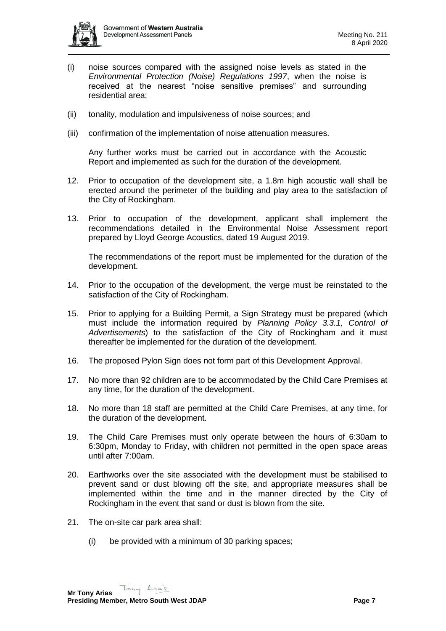

- (i) noise sources compared with the assigned noise levels as stated in the *Environmental Protection (Noise) Regulations 1997*, when the noise is received at the nearest "noise sensitive premises" and surrounding residential area;
- (ii) tonality, modulation and impulsiveness of noise sources; and
- (iii) confirmation of the implementation of noise attenuation measures.

Any further works must be carried out in accordance with the Acoustic Report and implemented as such for the duration of the development.

- 12. Prior to occupation of the development site, a 1.8m high acoustic wall shall be erected around the perimeter of the building and play area to the satisfaction of the City of Rockingham.
- 13. Prior to occupation of the development, applicant shall implement the recommendations detailed in the Environmental Noise Assessment report prepared by Lloyd George Acoustics, dated 19 August 2019.

The recommendations of the report must be implemented for the duration of the development.

- 14. Prior to the occupation of the development, the verge must be reinstated to the satisfaction of the City of Rockingham.
- 15. Prior to applying for a Building Permit, a Sign Strategy must be prepared (which must include the information required by *Planning Policy 3.3.1, Control of Advertisements*) to the satisfaction of the City of Rockingham and it must thereafter be implemented for the duration of the development.
- 16. The proposed Pylon Sign does not form part of this Development Approval.
- 17. No more than 92 children are to be accommodated by the Child Care Premises at any time, for the duration of the development.
- 18. No more than 18 staff are permitted at the Child Care Premises, at any time, for the duration of the development.
- 19. The Child Care Premises must only operate between the hours of 6:30am to 6:30pm, Monday to Friday, with children not permitted in the open space areas until after 7:00am.
- 20. Earthworks over the site associated with the development must be stabilised to prevent sand or dust blowing off the site, and appropriate measures shall be implemented within the time and in the manner directed by the City of Rockingham in the event that sand or dust is blown from the site.
- 21. The on-site car park area shall:
	- (i) be provided with a minimum of 30 parking spaces;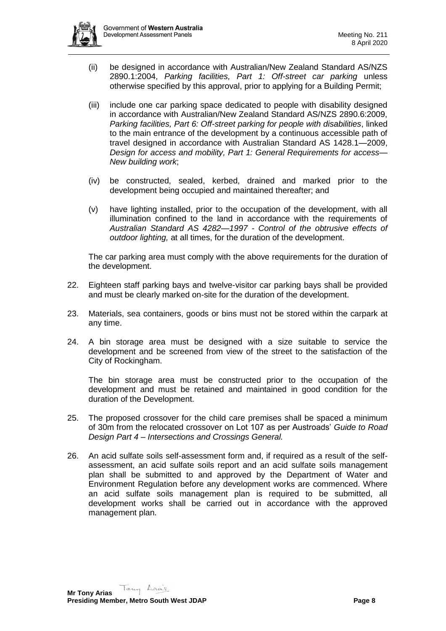

- (ii) be designed in accordance with Australian/New Zealand Standard AS/NZS 2890.1:2004, *Parking facilities, Part 1: Off-street car parking* unless otherwise specified by this approval, prior to applying for a Building Permit;
- (iii) include one car parking space dedicated to people with disability designed in accordance with Australian/New Zealand Standard AS/NZS 2890.6:2009, *Parking facilities, Part 6: Off-street parking for people with disabilities*, linked to the main entrance of the development by a continuous accessible path of travel designed in accordance with Australian Standard AS 1428.1—2009, *Design for access and mobility, Part 1: General Requirements for access— New building work*;
- (iv) be constructed, sealed, kerbed, drained and marked prior to the development being occupied and maintained thereafter; and
- (v) have lighting installed, prior to the occupation of the development, with all illumination confined to the land in accordance with the requirements of *Australian Standard AS 4282—1997 - Control of the obtrusive effects of outdoor lighting,* at all times, for the duration of the development.

The car parking area must comply with the above requirements for the duration of the development.

- 22. Eighteen staff parking bays and twelve-visitor car parking bays shall be provided and must be clearly marked on-site for the duration of the development.
- 23. Materials, sea containers, goods or bins must not be stored within the carpark at any time.
- 24. A bin storage area must be designed with a size suitable to service the development and be screened from view of the street to the satisfaction of the City of Rockingham.

The bin storage area must be constructed prior to the occupation of the development and must be retained and maintained in good condition for the duration of the Development.

- 25. The proposed crossover for the child care premises shall be spaced a minimum of 30m from the relocated crossover on Lot 107 as per Austroads' *Guide to Road Design Part 4 – Intersections and Crossings General.*
- 26. An acid sulfate soils self-assessment form and, if required as a result of the selfassessment, an acid sulfate soils report and an acid sulfate soils management plan shall be submitted to and approved by the Department of Water and Environment Regulation before any development works are commenced. Where an acid sulfate soils management plan is required to be submitted, all development works shall be carried out in accordance with the approved management plan.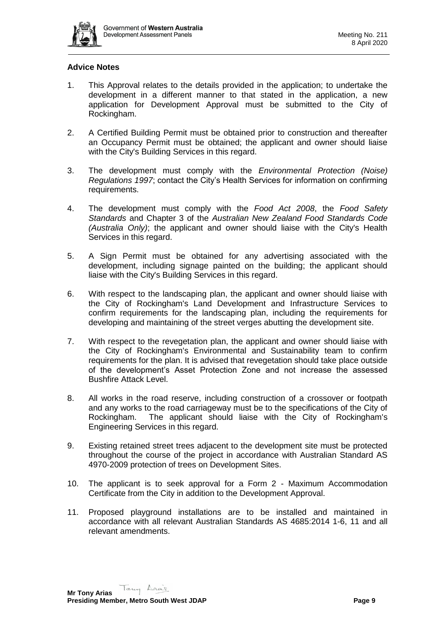

## **Advice Notes**

- 1. This Approval relates to the details provided in the application; to undertake the development in a different manner to that stated in the application, a new application for Development Approval must be submitted to the City of Rockingham.
- 2. A Certified Building Permit must be obtained prior to construction and thereafter an Occupancy Permit must be obtained; the applicant and owner should liaise with the City's Building Services in this regard.
- 3. The development must comply with the *Environmental Protection (Noise) Regulations 1997*; contact the City's Health Services for information on confirming requirements.
- 4. The development must comply with the *Food Act 2008*, the *Food Safety Standards* and Chapter 3 of the *Australian New Zealand Food Standards Code (Australia Only)*; the applicant and owner should liaise with the City's Health Services in this regard.
- 5. A Sign Permit must be obtained for any advertising associated with the development, including signage painted on the building; the applicant should liaise with the City's Building Services in this regard.
- 6. With respect to the landscaping plan, the applicant and owner should liaise with the City of Rockingham's Land Development and Infrastructure Services to confirm requirements for the landscaping plan, including the requirements for developing and maintaining of the street verges abutting the development site.
- 7. With respect to the revegetation plan, the applicant and owner should liaise with the City of Rockingham's Environmental and Sustainability team to confirm requirements for the plan. It is advised that revegetation should take place outside of the development's Asset Protection Zone and not increase the assessed Bushfire Attack Level.
- 8. All works in the road reserve, including construction of a crossover or footpath and any works to the road carriageway must be to the specifications of the City of Rockingham. The applicant should liaise with the City of Rockingham's Engineering Services in this regard.
- 9. Existing retained street trees adjacent to the development site must be protected throughout the course of the project in accordance with Australian Standard AS 4970-2009 protection of trees on Development Sites.
- 10. The applicant is to seek approval for a Form 2 Maximum Accommodation Certificate from the City in addition to the Development Approval.
- 11. Proposed playground installations are to be installed and maintained in accordance with all relevant Australian Standards AS 4685:2014 1-6, 11 and all relevant amendments.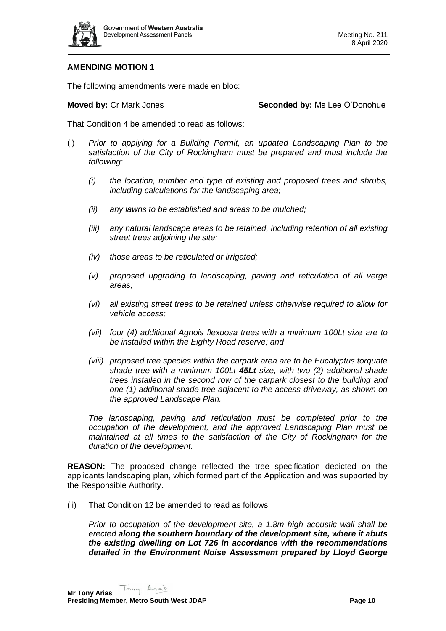

## **AMENDING MOTION 1**

The following amendments were made en bloc:

**Moved by:** Cr Mark Jones **Seconded by:** Ms Lee O'Donohue

That Condition 4 be amended to read as follows:

- (i) *Prior to applying for a Building Permit, an updated Landscaping Plan to the satisfaction of the City of Rockingham must be prepared and must include the following:* 
	- *(i) the location, number and type of existing and proposed trees and shrubs, including calculations for the landscaping area;*
	- *(ii) any lawns to be established and areas to be mulched;*
	- *(iii) any natural landscape areas to be retained, including retention of all existing street trees adjoining the site;*
	- *(iv) those areas to be reticulated or irrigated;*
	- *(v) proposed upgrading to landscaping, paving and reticulation of all verge areas;*
	- *(vi) all existing street trees to be retained unless otherwise required to allow for vehicle access;*
	- *(vii) four (4) additional Agnois flexuosa trees with a minimum 100Lt size are to be installed within the Eighty Road reserve; and*
	- *(viii) proposed tree species within the carpark area are to be Eucalyptus torquate shade tree with a minimum 100Lt 45Lt size, with two (2) additional shade trees installed in the second row of the carpark closest to the building and one (1) additional shade tree adjacent to the access-driveway, as shown on the approved Landscape Plan.*

*The landscaping, paving and reticulation must be completed prior to the occupation of the development, and the approved Landscaping Plan must be maintained at all times to the satisfaction of the City of Rockingham for the duration of the development.*

**REASON:** The proposed change reflected the tree specification depicted on the applicants landscaping plan, which formed part of the Application and was supported by the Responsible Authority.

(ii) That Condition 12 be amended to read as follows:

*Prior to occupation of the development site, a 1.8m high acoustic wall shall be erected along the southern boundary of the development site, where it abuts the existing dwelling on Lot 726 in accordance with the recommendations detailed in the Environment Noise Assessment prepared by Lloyd George*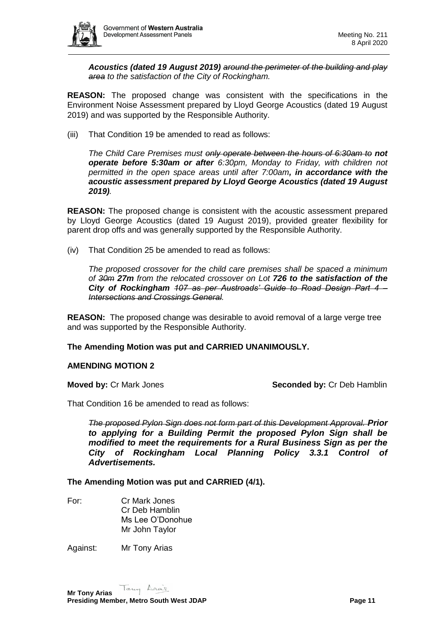

*Acoustics (dated 19 August 2019) around the perimeter of the building and play area to the satisfaction of the City of Rockingham.*

**REASON:** The proposed change was consistent with the specifications in the Environment Noise Assessment prepared by Lloyd George Acoustics (dated 19 August 2019) and was supported by the Responsible Authority.

(iii) That Condition 19 be amended to read as follows:

*The Child Care Premises must only operate between the hours of 6:30am to not operate before 5:30am or after 6:30pm, Monday to Friday, with children not permitted in the open space areas until after 7:00am, in accordance with the acoustic assessment prepared by Lloyd George Acoustics (dated 19 August 2019).*

**REASON:** The proposed change is consistent with the acoustic assessment prepared by Lloyd George Acoustics (dated 19 August 2019), provided greater flexibility for parent drop offs and was generally supported by the Responsible Authority.

(iv) That Condition 25 be amended to read as follows:

*The proposed crossover for the child care premises shall be spaced a minimum of 30m 27m from the relocated crossover on Lot 726 to the satisfaction of the City of Rockingham 107 as per Austroads' Guide to Road Design Part 4 – Intersections and Crossings General.*

**REASON:** The proposed change was desirable to avoid removal of a large verge tree and was supported by the Responsible Authority.

#### **The Amending Motion was put and CARRIED UNANIMOUSLY.**

#### **AMENDING MOTION 2**

**Moved by:** Cr Mark Jones **Seconded by:** Cr Deb Hamblin

That Condition 16 be amended to read as follows:

*The proposed Pylon Sign does not form part of this Development Approval. Prior to applying for a Building Permit the proposed Pylon Sign shall be modified to meet the requirements for a Rural Business Sign as per the City of Rockingham Local Planning Policy 3.3.1 Control of Advertisements.*

**The Amending Motion was put and CARRIED (4/1).**

For: Cr Mark Jones Cr Deb Hamblin Ms Lee O'Donohue Mr John Taylor

Against: Mr Tony Arias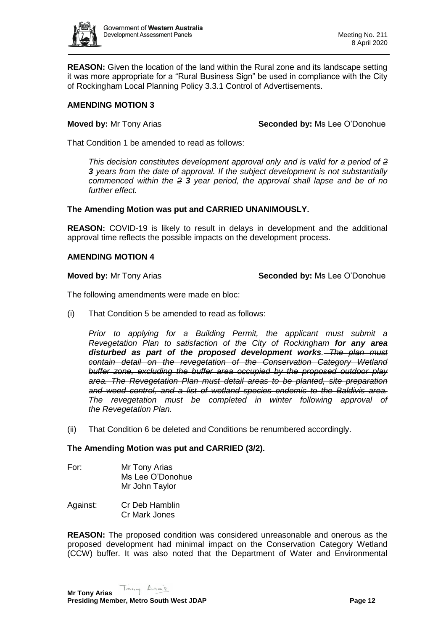

**REASON:** Given the location of the land within the Rural zone and its landscape setting it was more appropriate for a "Rural Business Sign" be used in compliance with the City of Rockingham Local Planning Policy 3.3.1 Control of Advertisements.

## **AMENDING MOTION 3**

**Moved by:** Mr Tony Arias **Seconded by:** Ms Lee O'Donohue

That Condition 1 be amended to read as follows:

*This decision constitutes development approval only and is valid for a period of 2 3 years from the date of approval. If the subject development is not substantially commenced within the 2 3 year period, the approval shall lapse and be of no further effect.*

## **The Amending Motion was put and CARRIED UNANIMOUSLY.**

**REASON:** COVID-19 is likely to result in delays in development and the additional approval time reflects the possible impacts on the development process.

## **AMENDING MOTION 4**

**Moved by:** Mr Tony Arias **Seconded by:** Ms Lee O'Donohue

The following amendments were made en bloc:

(i) That Condition 5 be amended to read as follows:

*Prior to applying for a Building Permit, the applicant must submit a Revegetation Plan to satisfaction of the City of Rockingham for any area disturbed as part of the proposed development works. The plan must contain detail on the revegetation of the Conservation Category Wetland buffer zone, excluding the buffer area occupied by the proposed outdoor play area. The Revegetation Plan must detail areas to be planted, site preparation and weed control, and a list of wetland species endemic to the Baldivis area. The revegetation must be completed in winter following approval of the Revegetation Plan.*

(ii) That Condition 6 be deleted and Conditions be renumbered accordingly.

#### **The Amending Motion was put and CARRIED (3/2).**

- For: Mr Tony Arias Ms Lee O'Donohue Mr John Taylor
- Against: Cr Deb Hamblin Cr Mark Jones

**REASON:** The proposed condition was considered unreasonable and onerous as the proposed development had minimal impact on the Conservation Category Wetland (CCW) buffer. It was also noted that the Department of Water and Environmental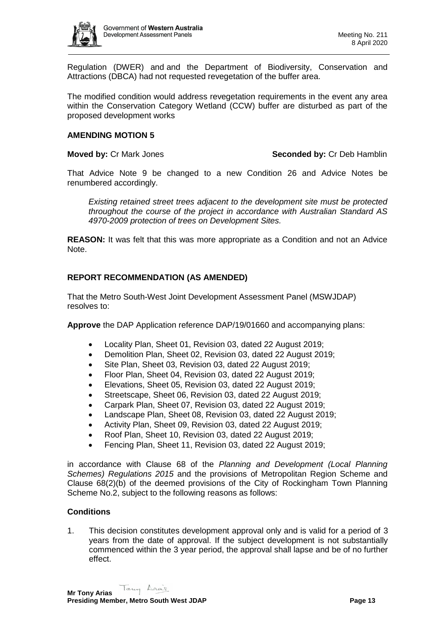

Regulation (DWER) and and the Department of Biodiversity, Conservation and Attractions (DBCA) had not requested revegetation of the buffer area.

The modified condition would address revegetation requirements in the event any area within the Conservation Category Wetland (CCW) buffer are disturbed as part of the proposed development works

### **AMENDING MOTION 5**

**Moved by: Cr Mark Jones Seconded by: Cr Deb Hamblin** 

That Advice Note 9 be changed to a new Condition 26 and Advice Notes be renumbered accordingly.

*Existing retained street trees adjacent to the development site must be protected throughout the course of the project in accordance with Australian Standard AS 4970-2009 protection of trees on Development Sites.*

**REASON:** It was felt that this was more appropriate as a Condition and not an Advice Note.

## **REPORT RECOMMENDATION (AS AMENDED)**

That the Metro South-West Joint Development Assessment Panel (MSWJDAP) resolves to:

**Approve** the DAP Application reference DAP/19/01660 and accompanying plans:

- Locality Plan, Sheet 01, Revision 03, dated 22 August 2019;
- Demolition Plan, Sheet 02, Revision 03, dated 22 August 2019;
- Site Plan, Sheet 03, Revision 03, dated 22 August 2019;
- Floor Plan, Sheet 04, Revision 03, dated 22 August 2019;
- Elevations, Sheet 05, Revision 03, dated 22 August 2019;
- Streetscape, Sheet 06, Revision 03, dated 22 August 2019;
- Carpark Plan, Sheet 07, Revision 03, dated 22 August 2019;
- Landscape Plan, Sheet 08, Revision 03, dated 22 August 2019;
- Activity Plan, Sheet 09, Revision 03, dated 22 August 2019;
- Roof Plan, Sheet 10, Revision 03, dated 22 August 2019;
- Fencing Plan, Sheet 11, Revision 03, dated 22 August 2019;

in accordance with Clause 68 of the *Planning and Development (Local Planning Schemes) Regulations 2015* and the provisions of Metropolitan Region Scheme and Clause 68(2)(b) of the deemed provisions of the City of Rockingham Town Planning Scheme No.2, subject to the following reasons as follows:

## **Conditions**

1. This decision constitutes development approval only and is valid for a period of 3 years from the date of approval. If the subject development is not substantially commenced within the 3 year period, the approval shall lapse and be of no further effect.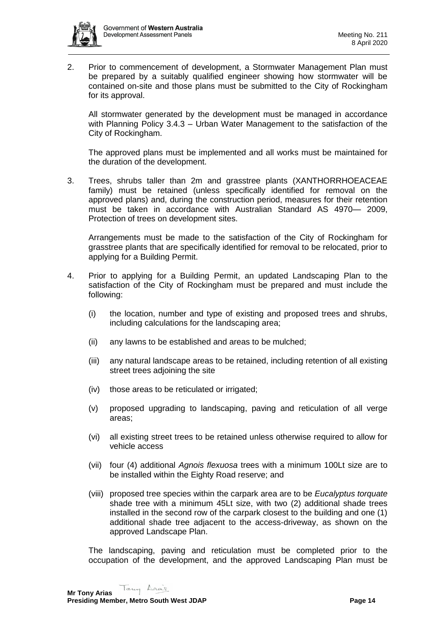

2. Prior to commencement of development, a Stormwater Management Plan must be prepared by a suitably qualified engineer showing how stormwater will be contained on-site and those plans must be submitted to the City of Rockingham for its approval.

All stormwater generated by the development must be managed in accordance with Planning Policy 3.4.3 – Urban Water Management to the satisfaction of the City of Rockingham.

The approved plans must be implemented and all works must be maintained for the duration of the development.

3. Trees, shrubs taller than 2m and grasstree plants (XANTHORRHOEACEAE family) must be retained (unless specifically identified for removal on the approved plans) and, during the construction period, measures for their retention must be taken in accordance with Australian Standard AS 4970— 2009, Protection of trees on development sites.

Arrangements must be made to the satisfaction of the City of Rockingham for grasstree plants that are specifically identified for removal to be relocated, prior to applying for a Building Permit.

- 4. Prior to applying for a Building Permit, an updated Landscaping Plan to the satisfaction of the City of Rockingham must be prepared and must include the following:
	- (i) the location, number and type of existing and proposed trees and shrubs, including calculations for the landscaping area;
	- (ii) any lawns to be established and areas to be mulched;
	- (iii) any natural landscape areas to be retained, including retention of all existing street trees adjoining the site
	- (iv) those areas to be reticulated or irrigated;
	- (v) proposed upgrading to landscaping, paving and reticulation of all verge areas;
	- (vi) all existing street trees to be retained unless otherwise required to allow for vehicle access
	- (vii) four (4) additional *Agnois flexuosa* trees with a minimum 100Lt size are to be installed within the Eighty Road reserve; and
	- (viii) proposed tree species within the carpark area are to be *Eucalyptus torquate*  shade tree with a minimum 45Lt size, with two (2) additional shade trees installed in the second row of the carpark closest to the building and one (1) additional shade tree adjacent to the access-driveway, as shown on the approved Landscape Plan.

The landscaping, paving and reticulation must be completed prior to the occupation of the development, and the approved Landscaping Plan must be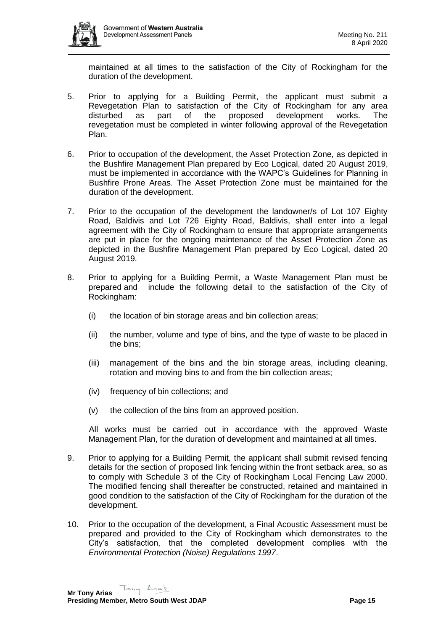

maintained at all times to the satisfaction of the City of Rockingham for the duration of the development.

- 5. Prior to applying for a Building Permit, the applicant must submit a Revegetation Plan to satisfaction of the City of Rockingham for any area disturbed as part of the proposed development works. The revegetation must be completed in winter following approval of the Revegetation Plan.
- 6. Prior to occupation of the development, the Asset Protection Zone, as depicted in the Bushfire Management Plan prepared by Eco Logical, dated 20 August 2019, must be implemented in accordance with the WAPC's Guidelines for Planning in Bushfire Prone Areas. The Asset Protection Zone must be maintained for the duration of the development.
- 7. Prior to the occupation of the development the landowner/s of Lot 107 Eighty Road, Baldivis and Lot 726 Eighty Road, Baldivis, shall enter into a legal agreement with the City of Rockingham to ensure that appropriate arrangements are put in place for the ongoing maintenance of the Asset Protection Zone as depicted in the Bushfire Management Plan prepared by Eco Logical, dated 20 August 2019.
- 8. Prior to applying for a Building Permit, a Waste Management Plan must be prepared and include the following detail to the satisfaction of the City of Rockingham:
	- (i) the location of bin storage areas and bin collection areas;
	- (ii) the number, volume and type of bins, and the type of waste to be placed in the bins;
	- (iii) management of the bins and the bin storage areas, including cleaning, rotation and moving bins to and from the bin collection areas;
	- (iv) frequency of bin collections; and
	- (v) the collection of the bins from an approved position.

All works must be carried out in accordance with the approved Waste Management Plan, for the duration of development and maintained at all times.

- 9. Prior to applying for a Building Permit, the applicant shall submit revised fencing details for the section of proposed link fencing within the front setback area, so as to comply with Schedule 3 of the City of Rockingham Local Fencing Law 2000. The modified fencing shall thereafter be constructed, retained and maintained in good condition to the satisfaction of the City of Rockingham for the duration of the development.
- 10. Prior to the occupation of the development, a Final Acoustic Assessment must be prepared and provided to the City of Rockingham which demonstrates to the City's satisfaction, that the completed development complies with the *Environmental Protection (Noise) Regulations 1997*.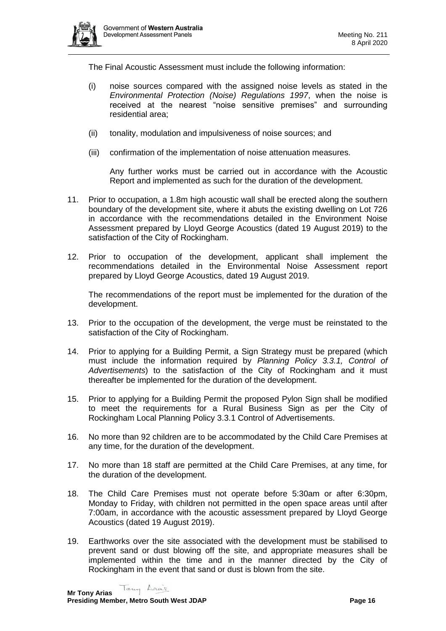

The Final Acoustic Assessment must include the following information:

- (i) noise sources compared with the assigned noise levels as stated in the *Environmental Protection (Noise) Regulations 1997*, when the noise is received at the nearest "noise sensitive premises" and surrounding residential area;
- (ii) tonality, modulation and impulsiveness of noise sources; and
- (iii) confirmation of the implementation of noise attenuation measures.

Any further works must be carried out in accordance with the Acoustic Report and implemented as such for the duration of the development.

- 11. Prior to occupation, a 1.8m high acoustic wall shall be erected along the southern boundary of the development site, where it abuts the existing dwelling on Lot 726 in accordance with the recommendations detailed in the Environment Noise Assessment prepared by Lloyd George Acoustics (dated 19 August 2019) to the satisfaction of the City of Rockingham.
- 12. Prior to occupation of the development, applicant shall implement the recommendations detailed in the Environmental Noise Assessment report prepared by Lloyd George Acoustics, dated 19 August 2019.

The recommendations of the report must be implemented for the duration of the development.

- 13. Prior to the occupation of the development, the verge must be reinstated to the satisfaction of the City of Rockingham.
- 14. Prior to applying for a Building Permit, a Sign Strategy must be prepared (which must include the information required by *Planning Policy 3.3.1, Control of Advertisements*) to the satisfaction of the City of Rockingham and it must thereafter be implemented for the duration of the development.
- 15. Prior to applying for a Building Permit the proposed Pylon Sign shall be modified to meet the requirements for a Rural Business Sign as per the City of Rockingham Local Planning Policy 3.3.1 Control of Advertisements.
- 16. No more than 92 children are to be accommodated by the Child Care Premises at any time, for the duration of the development.
- 17. No more than 18 staff are permitted at the Child Care Premises, at any time, for the duration of the development.
- 18. The Child Care Premises must not operate before 5:30am or after 6:30pm, Monday to Friday, with children not permitted in the open space areas until after 7:00am, in accordance with the acoustic assessment prepared by Lloyd George Acoustics (dated 19 August 2019).
- 19. Earthworks over the site associated with the development must be stabilised to prevent sand or dust blowing off the site, and appropriate measures shall be implemented within the time and in the manner directed by the City of Rockingham in the event that sand or dust is blown from the site.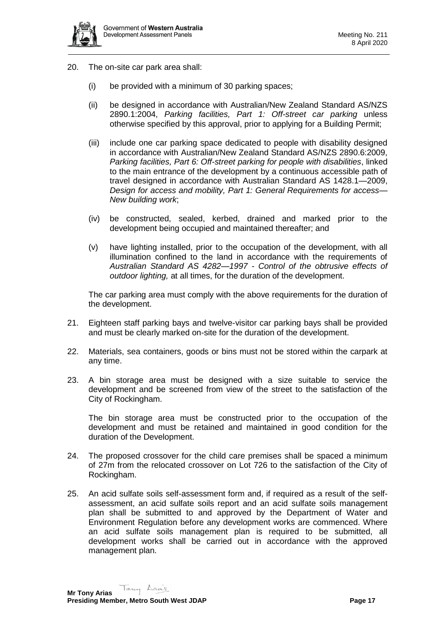

- 20. The on-site car park area shall:
	- (i) be provided with a minimum of 30 parking spaces;
	- (ii) be designed in accordance with Australian/New Zealand Standard AS/NZS 2890.1:2004, *Parking facilities, Part 1: Off-street car parking* unless otherwise specified by this approval, prior to applying for a Building Permit;
	- (iii) include one car parking space dedicated to people with disability designed in accordance with Australian/New Zealand Standard AS/NZS 2890.6:2009, *Parking facilities, Part 6: Off-street parking for people with disabilities*, linked to the main entrance of the development by a continuous accessible path of travel designed in accordance with Australian Standard AS 1428.1—2009, *Design for access and mobility, Part 1: General Requirements for access— New building work*;
	- (iv) be constructed, sealed, kerbed, drained and marked prior to the development being occupied and maintained thereafter; and
	- (v) have lighting installed, prior to the occupation of the development, with all illumination confined to the land in accordance with the requirements of *Australian Standard AS 4282—1997 - Control of the obtrusive effects of outdoor lighting,* at all times, for the duration of the development.

The car parking area must comply with the above requirements for the duration of the development.

- 21. Eighteen staff parking bays and twelve-visitor car parking bays shall be provided and must be clearly marked on-site for the duration of the development.
- 22. Materials, sea containers, goods or bins must not be stored within the carpark at any time.
- 23. A bin storage area must be designed with a size suitable to service the development and be screened from view of the street to the satisfaction of the City of Rockingham.

The bin storage area must be constructed prior to the occupation of the development and must be retained and maintained in good condition for the duration of the Development.

- 24. The proposed crossover for the child care premises shall be spaced a minimum of 27m from the relocated crossover on Lot 726 to the satisfaction of the City of Rockingham.
- 25. An acid sulfate soils self-assessment form and, if required as a result of the selfassessment, an acid sulfate soils report and an acid sulfate soils management plan shall be submitted to and approved by the Department of Water and Environment Regulation before any development works are commenced. Where an acid sulfate soils management plan is required to be submitted, all development works shall be carried out in accordance with the approved management plan.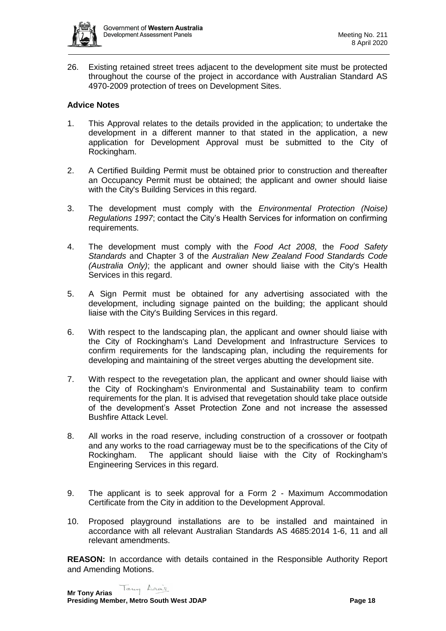

26. Existing retained street trees adjacent to the development site must be protected throughout the course of the project in accordance with Australian Standard AS 4970-2009 protection of trees on Development Sites.

## **Advice Notes**

- 1. This Approval relates to the details provided in the application; to undertake the development in a different manner to that stated in the application, a new application for Development Approval must be submitted to the City of Rockingham.
- 2. A Certified Building Permit must be obtained prior to construction and thereafter an Occupancy Permit must be obtained; the applicant and owner should liaise with the City's Building Services in this regard.
- 3. The development must comply with the *Environmental Protection (Noise) Regulations 1997*; contact the City's Health Services for information on confirming requirements.
- 4. The development must comply with the *Food Act 2008*, the *Food Safety Standards* and Chapter 3 of the *Australian New Zealand Food Standards Code (Australia Only)*; the applicant and owner should liaise with the City's Health Services in this regard.
- 5. A Sign Permit must be obtained for any advertising associated with the development, including signage painted on the building; the applicant should liaise with the City's Building Services in this regard.
- 6. With respect to the landscaping plan, the applicant and owner should liaise with the City of Rockingham's Land Development and Infrastructure Services to confirm requirements for the landscaping plan, including the requirements for developing and maintaining of the street verges abutting the development site.
- 7. With respect to the revegetation plan, the applicant and owner should liaise with the City of Rockingham's Environmental and Sustainability team to confirm requirements for the plan. It is advised that revegetation should take place outside of the development's Asset Protection Zone and not increase the assessed Bushfire Attack Level.
- 8. All works in the road reserve, including construction of a crossover or footpath and any works to the road carriageway must be to the specifications of the City of Rockingham. The applicant should liaise with the City of Rockingham's Engineering Services in this regard.
- 9. The applicant is to seek approval for a Form 2 Maximum Accommodation Certificate from the City in addition to the Development Approval.
- 10. Proposed playground installations are to be installed and maintained in accordance with all relevant Australian Standards AS 4685:2014 1-6, 11 and all relevant amendments.

**REASON:** In accordance with details contained in the Responsible Authority Report and Amending Motions.